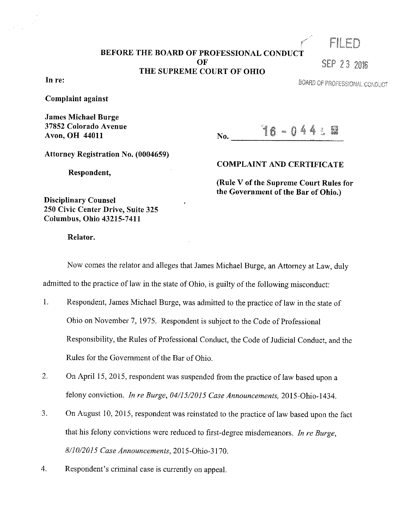**BEFORE THE BOARD OF PROFESSIONAL CONDUCT OF** 

**THE SUPREME COURT OF OHIO In re:** BOARD OF PROFESSIONAL CONDUCT

FII FN

SEP 23 2016

**Complaint against** 

**James Michael Burge 37852 Colorado Avenue Avon, OH 44011** 

 $N_0.$  16 - 044 : 8

 $\epsilon$ 

**Attorney Registration No. (0004659)** 

**Respondent,** 

**COMPLAINT AND CERTIFICATE** 

**(Rule V of the Supreme Court Rules for the Government of the Bar of Ohio.)** 

**Disciplinary Counsel 250 Civic Center Drive, Suite 325 Columbus, Ohio** 43215-7411

**Relator.** 

Now comes the relator and alleges that James Michael Burge, an Attorney at Law, duly admitted to the practice of law in the state of Ohio, is guilty of the following misconduct:

- 1. Respondent, James Michael Burge, was admitted to the practice of law in the state of Ohio on November 7, 1975. Respondent is subject to the Code of Professional Responsibility, the Rules of Professional Conduct, the Code of Judicial Conduct, and the Rules for the Government of the Bar of Ohio.
- 2. On April 15, 2015, respondent was suspended from the practice of law based upon a felony conviction. *In re Burge, 04/15/2015 Case Announcements*, 2015-Ohio-1434.
- 3. On August 10, 2015, respondent was reinstated to the practice of law based upon the fact that his felony convictions were reduced to first-degree misdemeanors. *In re Burge, 8/10/2015 Case Announcements,* 2015-0hio-3 **l** 70.
- 4. Respondent's criminal case is currently on appeal.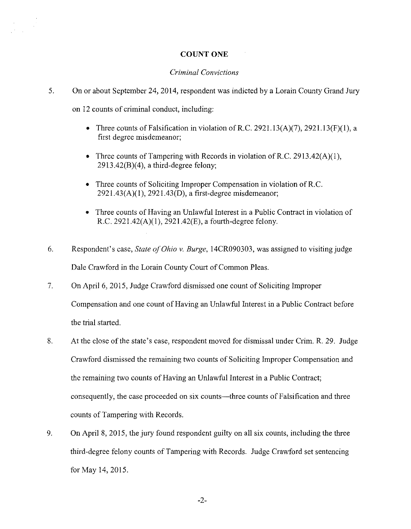## **COUNT ONE**

## *Criminal Convictions*

5. On or about September 24, 2014, respondent was indicted by a Lorain County Grand Jury

on 12 counts of criminal conduct, including:

- Three counts of Falsification in violation of R.C. 2921.13(A)(7), 2921.13(F)(1), a first degree misdemeanor;
- Three counts of Tampering with Records in violation of R.C. 2913.42(A)(1),  $2913.42(B)(4)$ , a third-degree felony;
- Three counts of Soliciting Improper Compensation in violation ofR.C. 2921.43(A)(l), 2921.43(0), a first-degree misdemeanor;
- Three counts of Having an Unlawful Interest in a Public Contract in violation of R.C. 2921.42(A)(l), 2921.42(E), a fourth-degree felony.
- 6. Respondent's case, *State a/Ohio v. Burge,* 14CR090303, was assigned to visiting judge Dale Crawford in the Lorain County Court of Common Pleas.
- 7. On April 6, 2015, Judge Crawford dismissed one count of Soliciting Improper Compensation and one count of Having an Unlawful Interest in a Public Contract before the trial started.
- 8. At the close of the state's case, respondent moved for dismissal under Crim. R. 29. Judge Crawford dismissed the remaining two counts of Soliciting Improper Compensation and the remaining two counts of Having an Unlawful Interest in a Public Contract; consequently, the case proceeded on six counts—three counts of Falsification and three counts of Tampering with Records.
- 9. On April 8, 2015, the jury found respondent guilty on all six counts, including the three third-degree felony counts of Tampering with Records. Judge Crawford set sentencing for May 14, 2015.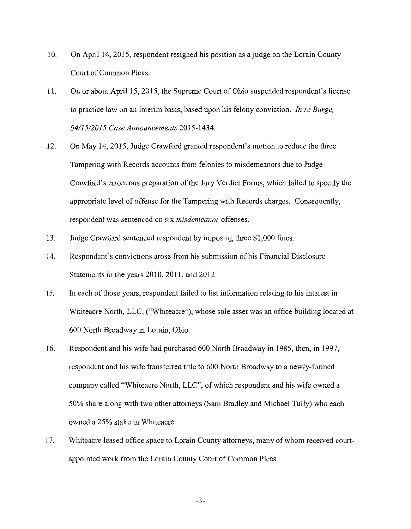- 10. On April 14, 2015, respondent resigned his position as a judge on the Lorain County Court of Common Pleas.
- 11. On or about April 15, 2015, the Supreme Court of Ohio suspended respondent's license to practice law on an interim basis, based upon his felony conviction. *In re Burge, 04/15/2015 Case Announcements* 2015-1434.
- 12. On May 14, 2015, Judge Crawford granted respondent's motion to reduce the three Tampering with Records accounts from felonies to misdemeanors due to Judge Crawford's erroneous preparation of the Jury Verdict Forms, which failed to specify the appropriate level of offense for the Tampering with Records charges. Consequently, respondent was sentenced on six *misdemeanor* offenses.
- 13. Judge Crawford sentenced respondent by imposing three \$1,000 fines.
- 14. Respondent's convictions arose from his submission of his Financial Disclosure Statements in the years 2010, 2011, and 2012.
- 15. In each of those years, respondent failed to list information relating to his interest in Whiteacre North, LLC, ("Whiteacre"), whose sole asset was an office building located at 600 North Broadway in Lorain, Ohio.
- 16. Respondent and his wife had purchased 600 North Broadway in 1985, then, in 1997, respondent and his wife transferred title to 600 North Broadway to a newly-formed company called "Whiteacre North, LLC", of which respondent and his wife owned a 50% share along with two other attorneys (Sam Bradley and Michael Tully) who each owned a 25% stake in Whiteacre.
- 17. Whiteacre leased office space to Lorain County attorneys, many of whom received courtappointed work from the Lorain County Court of Common Pleas.

-3-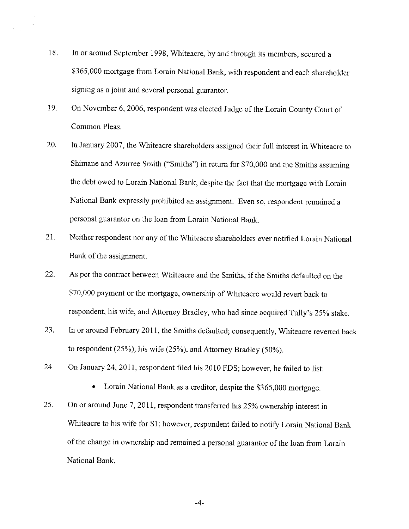- 18. In or around September 1998, Whiteacre, by and through its members, secured a \$365,000 mortgage from Lorain National Bank, with respondent and each shareholder signing as a joint and several personal guarantor.
- 19. On November 6, 2006, respondent was elected Judge of the Lorain County Court of Common Pleas.
- 20. In January 2007, the Whiteacre shareholders assigned their full interest in Whiteacre to Shimane and Azurree Smith ("Smiths") in return for \$70,000 and the Smiths assuming the debt owed to Lorain National Bank, despite the fact that the mortgage with Lorain National Bank expressly prohibited an assignment. Even so, respondent remained a personal guarantor on the loan from Lorain National Bank.
- 21. Neither respondent nor any of the Whiteacre shareholders ever notified Lorain National Bank of the assignment.
- 22. As per the contract between Whiteacre and the Smiths, if the Smiths defaulted on the \$70,000 payment or the mortgage, ownership of Whiteacre would revert back to respondent, his wife, and Attorney Bradley, who had since acquired Tully's 25% stake.
- 23. In or around February 2011, the Smiths defaulted; consequently, Whiteacre reverted back to respondent (25%), his wife (25%), and Attorney Bradley (50%).
- 24. On January 24, 2011, respondent filed his 2010 FDS; however, he failed to list:
	- Lorain National Bank as a creditor, despite the \$365,000 mortgage.
- 25. On or around June 7, 2011, respondent transferred his 25% ownership interest in Whiteacre to his wife for \$1; however, respondent failed to notify Lorain National Bank of the change in ownership and remained a personal guarantor of the loan from Lorain National Bank.

-4-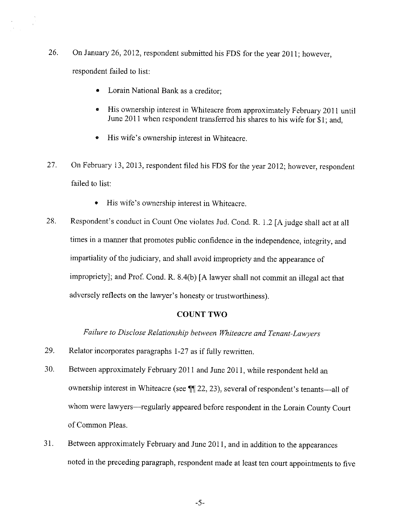- 26. On January 26, 2012, respondent submitted his FDS for the year 2011; however, respondent failed to list:
	- Lorain National Bank as a creditor;
	- His ownership interest in Whiteacre from approximately February 2011 until June 2011 when respondent transferred his shares to his wife for \$1; and,
	- His wife's ownership interest in Whiteacre.
- 27. On February 13, 2013, respondent filed his FDS for the year 2012; however, respondent failed to list:
	- His wife's ownership interest in Whiteacre.
- 28. Respondent's conduct in Count One violates Jud. Cond. R. 1.2 [A judge shall act at all times in a manner that promotes public confidence in the independence, integrity, and impartiality of the judiciary, and shall avoid impropriety and the appearance of impropriety]; and Prof. Cond. R. 8.4(b) (A lawyer shall not commit an illegal act that adversely reflects on the lawyer's honesty or trustworthiness).

#### **COUNT TWO**

*Failure to Disclose Relationship between Whiteacre and Tenant-Lawyers* 

- 29. Relator incorporates paragraphs 1-27 as if fully rewritten.
- 30. Between approximately February 2011 and June 2011, while respondent held an ownership interest in Whiteacre (see  $\P$ ] 22, 23), several of respondent's tenants--all of whom were lawyers—regularly appeared before respondent in the Lorain County Court of Common Pleas.
- 31. Between approximately February and June 2011, and in addition to the appearances noted in the preceding paragraph, respondent made at least ten court appointments to five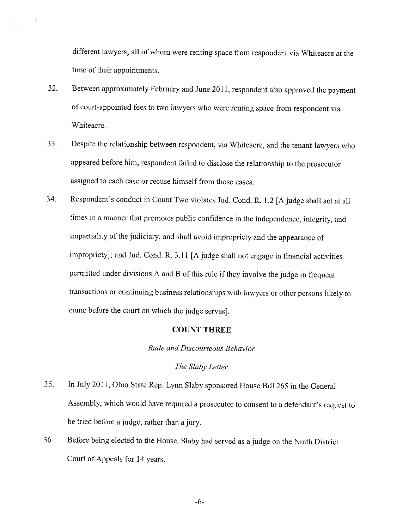different lawyers, all of whom were renting space from respondent via Whiteacre at the time of their appointments.

32. Between approximately February and June 2011, respondent also approved the payment of court-appointed fees to two lawyers who were renting space from respondent via Whiteacre.

 $\begin{aligned} \mathcal{C}^{(1)}_{\text{max}} &= \mathcal{C}^{(1)}_{\text{max}} \\ \mathcal{C}^{(1)}_{\text{max}} &= \mathcal{C}^{(1)}_{\text{max}} \end{aligned}$ 

- 33. Despite the relationship between respondent, via Whiteacre, and the tenant-lawyers who appeared before him, respondent failed to disclose the relationship to the prosecutor assigned to each case or recuse himself from those cases.
- 34. Respondent's conduct in Count Two violates Jud. Cond. R. 1.2 [A judge shall act at all times in a manner that promotes public confidence in the independence, integrity, and impartiality of the judiciary, and shall avoid impropriety and the appearance of impropriety); and Jud. Cond. R. 3.11 [A judge shall not engage in financial activities permitted under divisions A and B of this rule if they involve the judge in frequent transactions or continuing business relationships with lawyers or other persons likely to come before the court on which the judge serves].

# **COUNT THREE**

*Rude and Discourteous Behavior* 

*The Slaby Letter* 

- 35. In July 2011, Ohio State Rep. Lynn Slaby sponsored House Bill 265 in the General Assembly, which would have required a prosecutor to consent to a defendant's request to be tried before a judge, rather than a jury.
- 36. Before being elected to the House, Slaby had served as a judge on the Ninth District Court of Appeals for 14 years.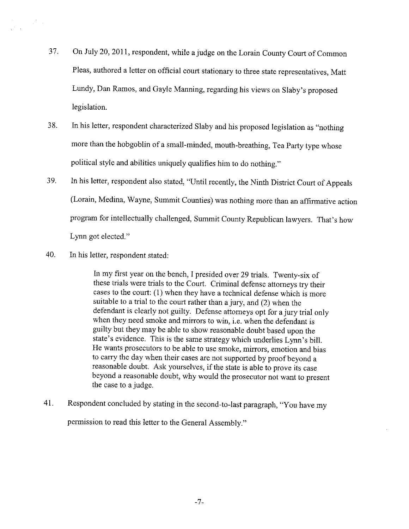- 37. On July 20, 2011, respondent, while a judge on the Lorain County Court of Common Pleas, authored a letter on official court stationary to three state representatives, Matt Lundy, Dan Ramos, and Gayle Manning, regarding his views on Slaby's proposed legislation.
- 38. In his letter, respondent characterized Slaby and his proposed legislation as "nothing more than the hobgoblin of a small-minded, mouth-breathing, Tea Party type whose political style and abilities uniquely qualifies him to do nothing."
- 39. In his letter, respondent also stated, "Until recently, the Ninth District Court of Appeals (Lorain, Medina, Wayne, Summit Counties) was nothing more than an affirmative action program for intellectually challenged, Summit County Republican lawyers. That's how Lynn got elected."
- 40. In his letter, respondent stated:

 $\sim 10^{11}$  km

In my first year on the bench, I presided over 29 trials. Twenty-six of these trials were trials to the Court. Criminal defense attorneys try their cases to the court: (!) when they have a technical defense which is more suitable to a trial to the court rather than a jury, and (2) when the defendant is clearly not guilty. Defense attorneys opt for a jury trial only when they need smoke and mirrors to win, i.e. when the defendant is guilty but they may be able to show reasonable doubt based upon the state's evidence. This is the same strategy which underlies  $\tilde{\rm L}_{\rm vnn}$ 's bill. He wants prosecutors to be able to use smoke, mirrors, emotion and bias to carry the day when their cases are not supported by proof beyond a reasonable doubt. Ask yourselves, if the state is able to prove its case beyond a reasonable doubt, why would the prosecutor not want to present the case to a judge.

41. Respondent concluded by stating in the second-to-last paragraph, "You have my permission to read this letter to the General Assembly."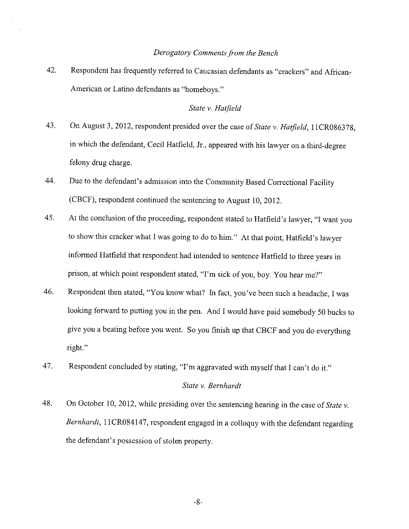## *Derogatory Comments from the Bench*

42. Respondent has frequently referred to Caucasian defendants as "crackers" and African-American or Latino defendants as "homeboys."

#### *State v. Hatfield*

- 43. On August 3, 2012, respondent presided over the case of *State v. Hatfield,* I ICR086378, in which the defendant, Cecil Hatfield, Jr., appeared with his lawyer on a third-degree felony drug charge.
- 44. Due to the defendant's admission into the Community Based Correctional Facility (CBCF), respondent continued the sentencing to August 10, 2012.
- 45. At the conclusion of the proceeding, respondent stated to Hatfield's lawyer, "I want you to show this cracker what l was going to do to him." At that point, Hatfield's lawyer informed Hatfield that respondent had intended to sentence Hatfield to three years in prison, at which point respondent stated, "I'm sick of you, boy. You hear me?"
- 46. Respondent then stated, "You know what? In fact, you've been such a headache, I was looking forward to putting you in the pen. And I would have paid somebody 50 bucks to give you a beating before you went. So you finish up that CBCF and you do everything right."
- 47. Respondent concluded by stating, "I'm aggravated with myself that I can't do it."

#### *State v. Bernhardt*

48. On October 10, 2012, while presiding over the sentencing hearing in the case of *State v. Bernhardt,* I ICR084147, respondent engaged in a colloquy with the defendant regarding the defendant's possession of stolen property.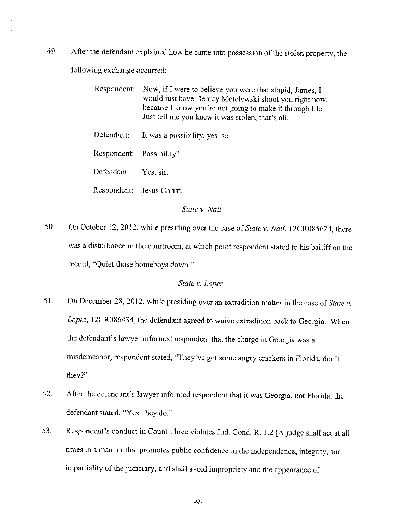49. After the defendant explained how he came into possession of the stolen property, the following exchange occurred:

| Respondent:              | Now, if I were to believe you were that stupid, James, I<br>would just have Deputy Motelewski shoot you right now,<br>because I know you're not going to make it through life.<br>Just tell me you knew it was stolen, that's all. |
|--------------------------|------------------------------------------------------------------------------------------------------------------------------------------------------------------------------------------------------------------------------------|
| Defendant:               | It was a possibility, yes, sir.                                                                                                                                                                                                    |
| Respondent: Possibility? |                                                                                                                                                                                                                                    |
| Defendant:               | Yes. sir.                                                                                                                                                                                                                          |
| Respondent:              | Jesus Christ.                                                                                                                                                                                                                      |

*State v. Nail* 

50. On October 12, 2012, while presiding over the case of *State v. Nail,* 12CR085624, there was a disturbance in the courtroom, at which point respondent stated to his bailiff on the record, "Quiet those homeboys down."

# *State v. Lopez*

- 51. On December 28, 2012, while presiding over an extradition matter in the case of *State v. Lopez,* 12CR086434, the defendant agreed to waive extradition back to Georgia. When the defendant's lawyer informed respondent that the charge in Georgia was a misdemeanor, respondent stated, "They've got some angry crackers in Florida, don't they?"
- 52. After the defendant's lawyer informed respondent that it was Georgia, not Florida, the defendant stated, "Yes, they do."
- 53. Respondent's conduct in Count Three violates Jud. Cond. R. 1.2 [A judge shall act at all times in a manner that promotes public confidence in the independence, integrity, and impartiality of the judiciary, and shall avoid impropriety and the appearance of

-9-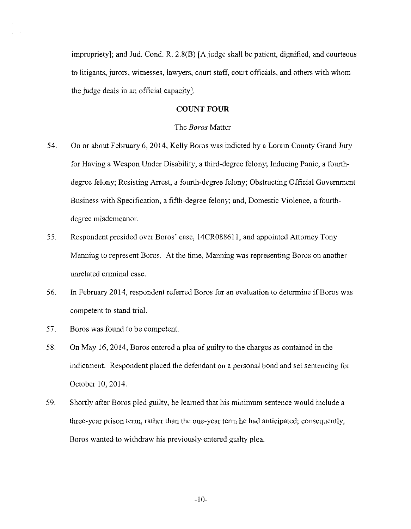impropriety]; and Jud. Cond. R. 2.8(B) [A judge shall be patient, dignified, and courteous to litigants, jurors, witnesses, lawyers, court staff, court officials, and others with whom the judge deals in an official capacity].

## **COUNT FOUR**

#### The *Boros* Matter

- 54. On or about February 6, 2014, Kelly Boros was indicted by a Lorain County Grand Jury for Having a Weapon Under Disability, a third-degree felony; Inducing Panic, a fourthdegree felony; Resisting Arrest, a fourth-degree felony; Obstructing Official Government Business with Specification, a fifth-degree felony; and, Domestic Violence, a fourthdegree misdemeanor.
- 55. Respondent presided over Boros' case, 14CR088611, and appointed Attorney Tony Manning to represent Boros. At the time, Manning was representing Boros on another unrelated criminal case.
- 56. In February 2014, respondent referred Boros for an evaluation to determine if Boros was competent to stand trial.
- 57. Boros was found to be competent.
- 58. On May 16, 2014, Boros entered a plea of guilty to the charges as contained in the indictment. Respondent placed the defendant on a personal bond and set sentencing for October 10, 2014.
- 59. Shortly after Boros pied guilty, he learned that his minimum sentence would include a three-year prison term, rather than the one-year term he had anticipated; consequently, Boros wanted to withdraw his previously-entered guilty plea.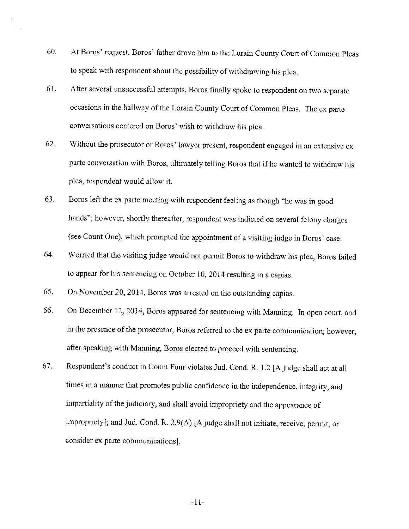- 60. At Boros' request, Boros' father drove him to the Lorain County Court of Common Pleas to speak with respondent about the possibility of withdrawing his plea.
- 61. After several unsuccessful attempts, Boros finally spoke to respondent on two separate occasions in the hallway of the Lorain County Court of Common Pleas. The ex parte conversations centered on Boros' wish to withdraw his plea.
- 62. Without the prosecutor or Boros' lawyer present, respondent engaged in an extensive ex parte conversation with Boros, ultimately telling Boros that if he wanted to withdraw his plea, respondent would allow it.
- 63. Boros left the ex parte meeting with respondent feeling as though "he was in good hands"; however, shortly thereafter, respondent was indicted on several felony charges (see Count One), which prompted the appointment of a visiting judge in Boros' case.
- 64. Worried that the visiting judge would not permit Boros to withdraw his plea, Boros failed to appear for his sentencing on October 10, 2014 resulting in a capias.
- 65. On November 20, 2014, Boros was arrested on the outstanding capias.
- 66. On December 12, 2014, Boros appeared for sentencing with Manning. In open court, and in the presence of the prosecutor, Boros referred to the ex parte communication; however, after speaking with Manning, Boros elected to proceed with sentencing.
- 67. Respondent's conduct in Count Four violates Jud. Cond. R. 1.2 [A judge shall act at all times in a manner that promotes public confidence in the independence, integrity, and impartiality of the judiciary, and shall avoid impropriety and the appearance of impropriety]; and Jud. Cond. R. 2.9(A) [A judge shall not initiate, receive, permit, or consider ex parte communications].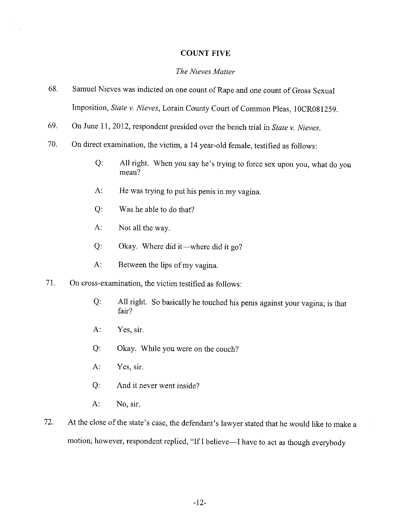## **COUNT FIVE**

#### *The Nieves Matter*

- 68. Samuel Nieves was indicted on one count of Rape and one count of Gross Sexual Imposition, *State v. Nieves,* Lorain County Court of Common Pleas, !OCR081259.
- 69. On June 11, 2012, respondent presided over the bench trial in *State v. Nieves.*
- 70. On direct examination, the victim, a 14 year-old female, testified as follows:
	- Q: All right. When you say he's trying to force sex upon you, what do you mean?
	- A: He was trying to put his penis in my vagina.
	- Q: Was he able to do that?
	- A: Not all the way.
	- Q: Okay. Where did it-where did it go?
	- A: Between the lips of my vagina.
- 71. On cross-examination, the victim testified as follows:
	- Q: All right. So basically he touched his penis against your vagina; is that fair?
	- A: Yes, sir.
	- Q: Okay. While you were on the couch?
	- A: Yes, sir.
	- Q: And it never went inside?
	- A: No, sir.
- 72. At the close of the state's case, the defendant's lawyer stated that he would like to make a motion; however, respondent replied, "If I believe-I have to act as though everybody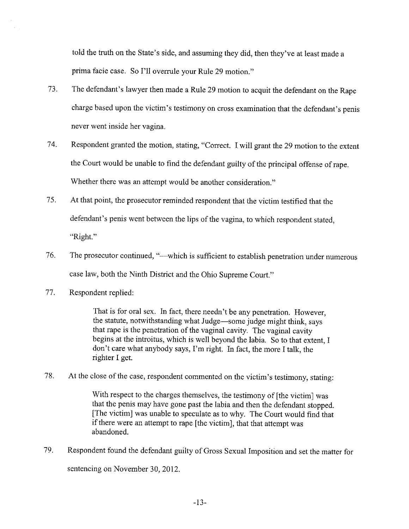told the truth on the State's side, and assuming they did, then they've at least made a prima facie case. So I'll overrule your Rule 29 motion."

- 73. The defendant's lawyer then made a Rule 29 motion to acquit the defendant on the Rape charge based upon the victim's testimony on cross examination that the defendant's penis never went inside her vagina.
- 74. Respondent granted the motion, stating, "Correct. I will grant the 29 motion to the extent the Court would be unable to find the defendant guilty of the principal offense of rape. Whether there was an attempt would be another consideration."
- 7 5. At that point, the prosecutor reminded respondent that the victim testified that the defendant's penis went between the lips of the vagina, to which respondent stated, "Right."
- 76. The prosecutor continued, "—which is sufficient to establish penetration under numerous case law, both the Ninth District and the Ohio Supreme Court."
- 77. Respondent replied:

That is for oral sex. In fact, there needn't be any penetration. However, the statute, notwithstanding what Judge—some judge might think, says that rape is the penetration of the vaginal cavity. The vaginal cavity begins at the introitus, which is well beyond the labia. So to that extent, I don't care what anybody says, I'm right. In fact, the more I talk, the righter I get.

78. At the close of the case, respondent commented on the victim's testimony, stating:

With respect to the charges themselves, the testimony of [the victim] was that the penis may have gone past the labia and then the defendant stopped. [The victim] was unable to speculate as to why. The Court would find that if there were an attempt to rape [the victim], that that attempt was abandoned.

79. Respondent found the defendant guilty of Gross Sexual Imposition and set the matter for sentencing on November 30, 2012.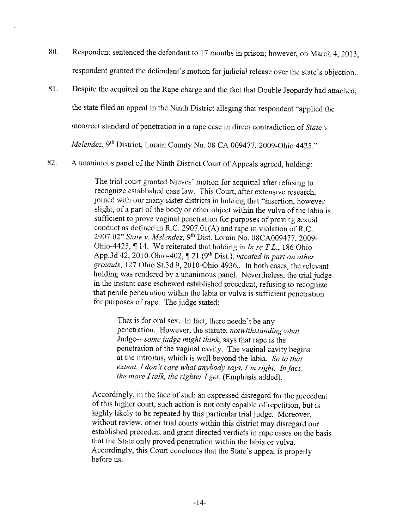- 80. Respondent sentenced the defendant to 17 months in prison; however, on March 4, 2013, respondent granted the defendant's motion for judicial release over the state's objection.
- 81. Despite the acquittal on the Rape charge and the fact that Double Jeopardy had attached,

the state filed an appeal in the Ninth District alleging that respondent "applied the

incorrect standard of penetration in a rape case in direct contradiction of *State v.* 

*Melendez,* 9th District, Lorain County No. 08 CA 009477, 2009-0hio 4425."

82. A unanimous panel of the Ninth District Court of Appeals agreed, holding:

The trial court granted Nieves' motion for acquittal after refusing to recognize established case law. This Court, after extensive research, joined with our many sister districts in holding that "insertion, however slight, of a part of the body or other object within the vulva of the labia is sufficient to prove vaginal penetration for purposes of proving sexual conduct as defined in R.C. 2907.01(A) and rape in violation of R.C. 2907.02" *State v. Melendez,* 9th Dist. Lorain No. 08CA009477, 2009- Ohio-4425,  $\P$  14. We reiterated that holding in *In re T.L.*, 186 Ohio App.3d 42, 2010-Ohio-402, ¶ 21 (9<sup>th</sup> Dist.). *vacated in part on other grounds,* 127 Ohio St.3d 9, 2010-0hio-4936,. In both cases, the relevant holding was rendered by a unanimous panel. Nevertheless, the trial judge in the instant case eschewed established precedent, refusing to recognize that penile penetration within the labia or vulva is sufficient penetration for purposes of rape. The judge stated:

That is for oral sex. In fact, there needn't be any penetration. However, the statute, *notwithstanding what Judge-some judge might think,* says that rape is the penetration of the vaginal cavity. The vaginal cavity begins at the introitus, which is well beyond the labia. *So to that extent, I don't care what anybody says, I'm right. In fact, the more I talk, the righter I get.* (Emphasis added).

Accordingly, in the face of such an expressed disregard for the precedent of this higher court, such action is not only capable of repetition, but is highly likely to be repeated by this particular trial judge. Moreover, without review, other trial courts within this district may disregard our established precedent and grant directed verdicts in rape cases on the basis that the State only proved penetration within the labia or vulva. Accordingly, this Court concludes that the State's appeal is properly before us.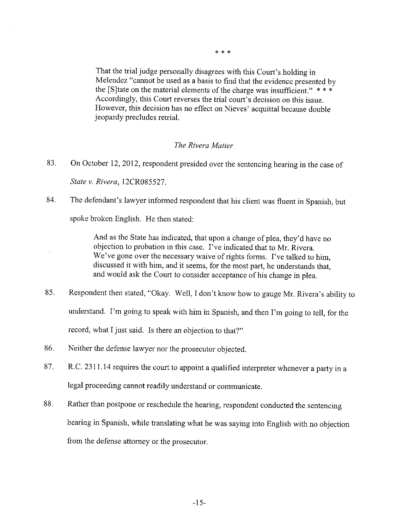$* * *$ 

That the trial judge personally disagrees with this Court's holding in Melendez "cannot be used as a basis to find that the evidence presented by the [S]tate on the material elements of the charge was insufficient."  $***$ Accordingly, this Court reverses the trial court's decision on this issue. However, this decision has no effect on Nieves' acquittal because double jeopardy precludes retrial.

# *The Rivera Matter*

- 83. On October 12, 2012, respondent presided over the sentencing hearing in the case of *State v. Rivera,* 12CR085527.
- 84. The defendant's lawyer informed respondent that his client was fluent in Spanish, but spoke broken English. He then stated:

And as the State has indicated, that upon a change of plea, they'd have no objection to probation in this case. I've indicated that to Mr. Rivera. We've gone over the necessary waive of rights forms. I've talked to him, discussed it with him, and it seems, for the most part, he understands that, and would ask the Court to consider acceptance of his change in plea.

- 85. Respondent then stated, "Okay. Well, I don't know how to gauge Mr. Rivera's ability to understand. I'm going to speak with him in Spanish, and then I'm going to tell, for the record, what I just said. Is there an objection to that?"
- 86. Neither the defense lawyer nor the prosecutor objected.

÷.

- 87. R.C. 2311.14 requires the court to appoint a qualified interpreter whenever a party in a legal proceeding cannot readily understand or communicate.
- 88. Rather than postpone or reschedule the hearing, respondent conducted the sentencing hearing in Spanish, while translating what he was saying into English with no objection from the defense attorney or the prosecutor.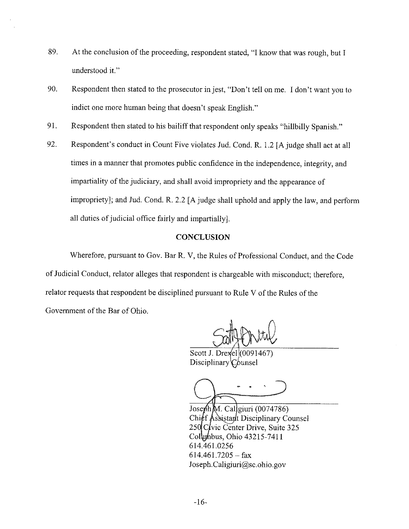- 89. At the conclusion of the proceeding, respondent stated, "I know that was rough, but I understood it."
- 90. Respondent then stated to the prosecutor in jest, "Don't tell on me. I don't want you to indict one more human being that doesn't speak English."
- 91. Respondent then stated to his bailiff that respondent only speaks "hillbilly Spanish."
- 92. Respondent's conduct in Count Five violates Jud. Cond. R. 1.2 [A judge shall act at all times in a manner that promotes public confidence in the independence, integrity, and impartiality of the judiciary, and shall avoid impropriety and the appearance of impropriety]; and Jud. Cond. R. 2.2 [A judge shall uphold and apply the law, and perform all duties of judicial office fairly and impartially].

## **CONCLUSION**

Wherefore, pursuant to Gov. Bar R. V, the Rules of Professional Conduct, and the Code of Judicial Conduct, relator alleges that respondent is chargeable with misconduct; therefore, relator requests that respondent be disciplined pursuant to Rule V of the Rules of the Government of the Bar of Ohio.

Scott J. Drexel (0091467) Disciplinary  $\mathcal{C}_{\text{bunnel}}$ 

Joseph M. Callgiuri (0074786) Chief Assistant Disciplinary Counsel 250 C vic Center Drive, Suite 325 Columbus, Ohio 43215-7411 614.461.0256  $614.461.7205 - fax$ Joseph.Caligiuri@sc.ohio.gov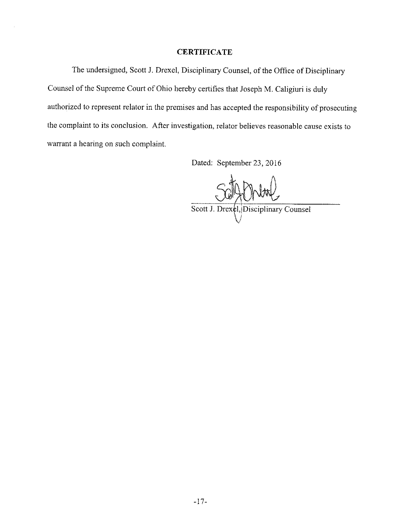# **CERTIFICATE**

The undersigned, Scott J. Drexel, Disciplinary Counsel, of the Office of Disciplinary Counsel of the Supreme Court of Ohio hereby certifies that Joseph M. Caligiuri is duly authorized to represent relator in the premises and has accepted the responsibility of prosecuting the complaint to its conclusion. After investigation, relator believes reasonahle cause exists to warrant a hearing on such complaint.

Dated: September 23, 2016

Scott J. Drexcl, Disciplinary Counsel j